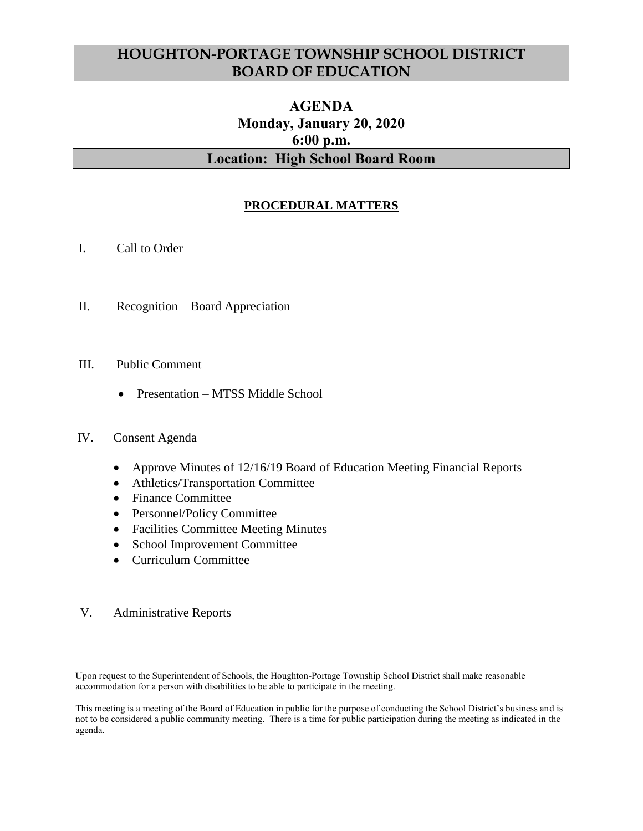# **HOUGHTON-PORTAGE TOWNSHIP SCHOOL DISTRICT BOARD OF EDUCATION**

# **AGENDA Monday, January 20, 2020 6:00 p.m. Location: High School Board Room**

## **PROCEDURAL MATTERS**

- I. Call to Order
- II. Recognition Board Appreciation
- III. Public Comment
	- Presentation MTSS Middle School

#### IV. Consent Agenda

- Approve Minutes of 12/16/19 Board of Education Meeting Financial Reports
- Athletics/Transportation Committee
- Finance Committee
- Personnel/Policy Committee
- Facilities Committee Meeting Minutes
- School Improvement Committee
- Curriculum Committee

#### V. Administrative Reports

Upon request to the Superintendent of Schools, the Houghton-Portage Township School District shall make reasonable accommodation for a person with disabilities to be able to participate in the meeting.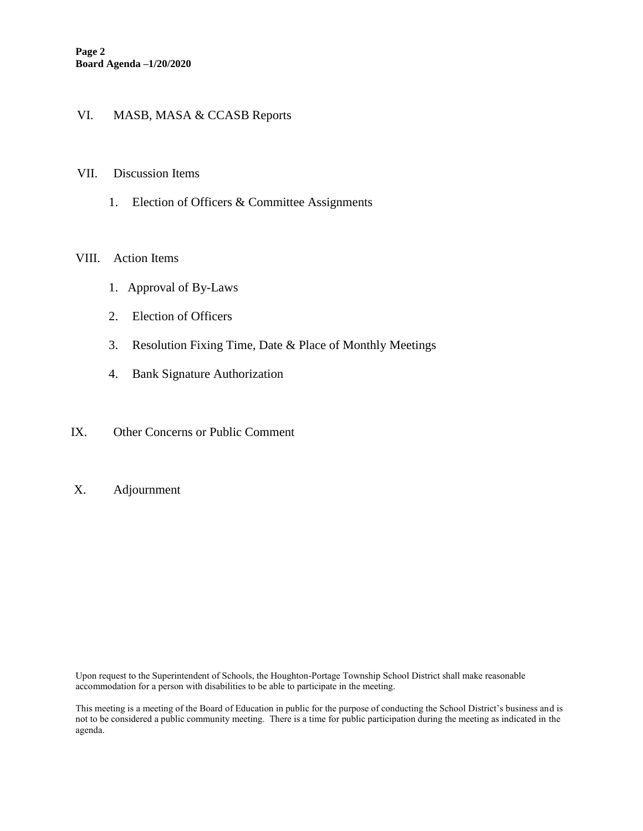### VI. MASB, MASA & CCASB Reports

#### VII. Discussion Items

1. Election of Officers & Committee Assignments

#### VIII. Action Items

- 1. Approval of By-Laws
- 2. Election of Officers
- 3. Resolution Fixing Time, Date & Place of Monthly Meetings
- 4. Bank Signature Authorization
- IX. Other Concerns or Public Comment
- X. Adjournment

Upon request to the Superintendent of Schools, the Houghton-Portage Township School District shall make reasonable accommodation for a person with disabilities to be able to participate in the meeting.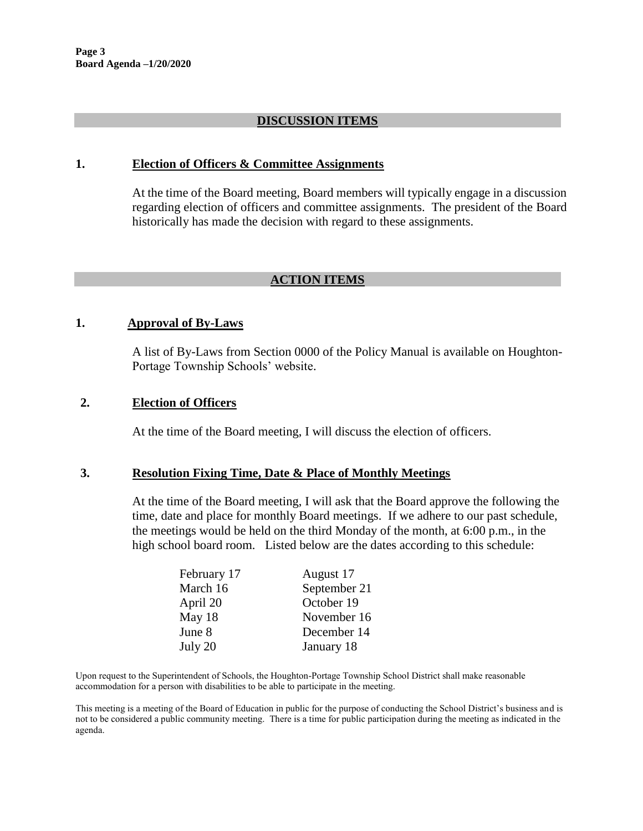### **DISCUSSION ITEMS**

#### **1. Election of Officers & Committee Assignments**

At the time of the Board meeting, Board members will typically engage in a discussion regarding election of officers and committee assignments. The president of the Board historically has made the decision with regard to these assignments.

## **ACTION ITEMS**

## **1. Approval of By-Laws**

A list of By-Laws from Section 0000 of the Policy Manual is available on Houghton-Portage Township Schools' website.

#### **2. Election of Officers**

At the time of the Board meeting, I will discuss the election of officers.

### **3. Resolution Fixing Time, Date & Place of Monthly Meetings**

At the time of the Board meeting, I will ask that the Board approve the following the time, date and place for monthly Board meetings. If we adhere to our past schedule, the meetings would be held on the third Monday of the month, at 6:00 p.m., in the high school board room. Listed below are the dates according to this schedule:

| February 17 | August 17    |
|-------------|--------------|
| March 16    | September 21 |
| April 20    | October 19   |
| May 18      | November 16  |
| June 8      | December 14  |
| July 20     | January 18   |

Upon request to the Superintendent of Schools, the Houghton-Portage Township School District shall make reasonable accommodation for a person with disabilities to be able to participate in the meeting.